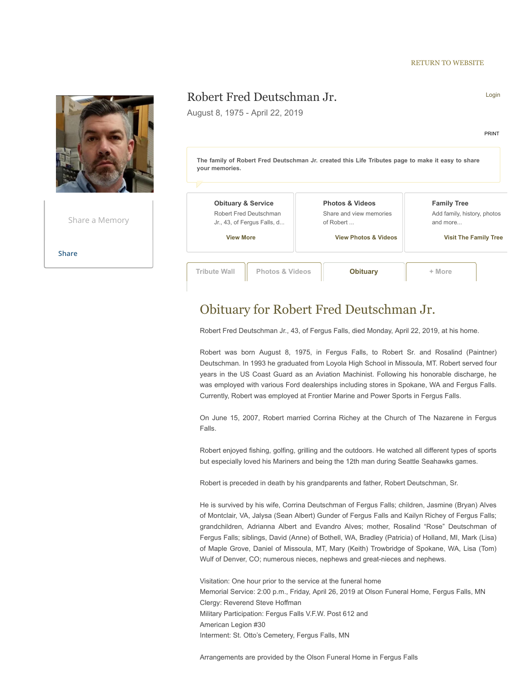#### [RETURN TO WEBSITE](https://www.olsonfuneralhome.com/obituaries)



# Obituary for Robert Fred Deutschman Jr.

Robert Fred Deutschman Jr., 43, of Fergus Falls, died Monday, April 22, 2019, at his home.

Robert was born August 8, 1975, in Fergus Falls, to Robert Sr. and Rosalind (Paintner) Deutschman. In 1993 he graduated from Loyola High School in Missoula, MT. Robert served four years in the US Coast Guard as an Aviation Machinist. Following his honorable discharge, he was employed with various Ford dealerships including stores in Spokane, WA and Fergus Falls. Currently, Robert was employed at Frontier Marine and Power Sports in Fergus Falls.

On June 15, 2007, Robert married Corrina Richey at the Church of The Nazarene in Fergus Falls.

Robert enjoyed fishing, golfing, grilling and the outdoors. He watched all different types of sports but especially loved his Mariners and being the 12th man during Seattle Seahawks games.

Robert is preceded in death by his grandparents and father, Robert Deutschman, Sr.

He is survived by his wife, Corrina Deutschman of Fergus Falls; children, Jasmine (Bryan) Alves of Montclair, VA, Jalysa (Sean Albert) Gunder of Fergus Falls and Kailyn Richey of Fergus Falls; grandchildren, Adrianna Albert and Evandro Alves; mother, Rosalind "Rose" Deutschman of Fergus Falls; siblings, David (Anne) of Bothell, WA, Bradley (Patricia) of Holland, MI, Mark (Lisa) of Maple Grove, Daniel of Missoula, MT, Mary (Keith) Trowbridge of Spokane, WA, Lisa (Tom) Wulf of Denver, CO; numerous nieces, nephews and great-nieces and nephews.

Visitation: One hour prior to the service at the funeral home Memorial Service: 2:00 p.m., Friday, April 26, 2019 at Olson Funeral Home, Fergus Falls, MN Clergy: Reverend Steve Hoffman Military Participation: Fergus Falls V.F.W. Post 612 and American Legion #30 Interment: St. Otto's Cemetery, Fergus Falls, MN

Arrangements are provided by the Olson Funeral Home in Fergus Falls